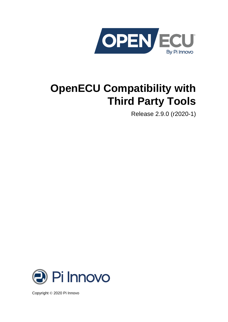

# **OpenECU Compatibility with Third Party Tools**

Release 2.9.0 (r2020-1)



Copyright © 2020 Pi Innovo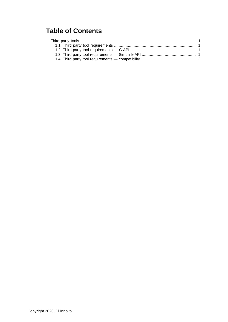#### **Table of Contents**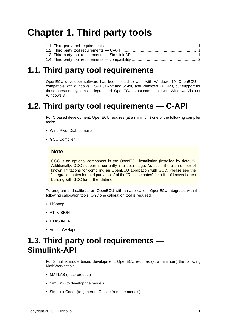## <span id="page-2-0"></span>**Chapter 1. Third party tools**

#### <span id="page-2-1"></span>**1.1. Third party tool requirements**

OpenECU developer software has been tested to work with Windows 10. OpenECU is compatible with Windows 7 SP1 (32-bit and 64-bit) and Windows XP SP3, but support for these operating systems is deprecated. OpenECU is not compatible with Windows Vista or Windows 8.

#### <span id="page-2-2"></span>**1.2. Third party tool requirements — C-API**

For C based development, OpenECU requires (at a minimum) one of the following compiler tools:

- Wind River Diab compiler
- GCC Compiler

#### **Note**

GCC is an optional component in the OpenECU installation (installed by default). Additionally, GCC support is currently in a beta stage. As such, there a number of known limitations for compiling an OpenECU application with GCC. Please see the "Integration notes for third party tools" of the "Release notes" for a list of known issues building with GCC for further details.

To program and calibrate an OpenECU with an application, OpenECU integrates with the following calibration tools. Only one calibration tool is required:

- PiSnoop
- ATI VISION
- ETAS INCA
- Vector CANape

### <span id="page-2-3"></span>**1.3. Third party tool requirements — Simulink-API**

For Simulink model based development, OpenECU requires (at a minimum) the following MathWorks tools:

- MATLAB (base product)
- Simulink (to develop the models)
- Simulink Coder (to generate C code from the models)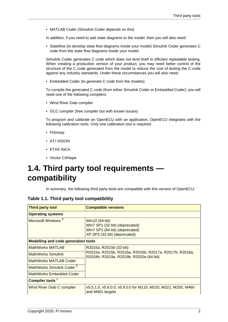• MATLAB Coder (Simulink Coder depends on this)

In addition, if you need to add state diagrams to the model, then you will also need:

• Stateflow (to develop state flow diagrams inside your model) Simulink Coder generates C code from the state flow diagrams inside your model.

Simulink Coder generates C code which does not lend itself to efficient repeatable testing. When creating a production version of your product, you may need better control of the structure of the C code generated from the model to reduce the cost of testing the C code against any industry standards. Under these circumstances you will also need:

• Embedded Coder (to generate C code from the models)

To compile the generated C code (from either Simulink Coder or Embedded Coder), you will need one of the following compilers:

- Wind River Diab compiler
- GCC compiler (free compiler but with known issues)

To program and calibrate an OpenECU with an application, OpenECU integrates with the following calibration tools. Only one calibration tool is required:

- PiSnoop
- ATI VISION
- ETAS INCA
- Vector CANape

### <span id="page-3-0"></span>**1.4. Third party tool requirements compatibility**

In summary, the following third party tools are compatible with this version of OpenECU:

| Table 1.1. Third party tool compatibility |  |  |  |  |  |  |  |
|-------------------------------------------|--|--|--|--|--|--|--|
|-------------------------------------------|--|--|--|--|--|--|--|

| <b>Third party tool</b>                    | <b>Compatible versions</b>                                                                                         |  |  |
|--------------------------------------------|--------------------------------------------------------------------------------------------------------------------|--|--|
| <b>Operating systems</b>                   |                                                                                                                    |  |  |
| Microsoft Windows <sup>a</sup>             | Win10 (64-bit)<br>Win7 SP1 (32-bit) (deprecated)<br>Win7 SP1 (64-bit) (deprecated)<br>XP SP3 (32-bit) (deprecated) |  |  |
| <b>Modelling and code generation tools</b> |                                                                                                                    |  |  |
| MathWorks MATLAB                           | R2015a, R2015b (32-bit)                                                                                            |  |  |
| <b>MathWorks Simulink</b>                  | R2015a, R2015b, R2016a, R2016b, R2017a, R2017b, R2018a,<br>R2018b, R2019a, R2019b, R2020a (64-bit)                 |  |  |
| MathWorks MATLAB Coder                     |                                                                                                                    |  |  |
| MathWorks Simulink Coder <sup>b</sup>      |                                                                                                                    |  |  |
| MathWorks Embedded Coder                   |                                                                                                                    |  |  |
| Compiler tools <sup>c</sup>                |                                                                                                                    |  |  |
| Wind River Diab C compiler                 | v5.5.1.0, v5.8.0.0, v5.9.0.0 for M110, M220, M221, M250, M460<br>and M461 targets                                  |  |  |